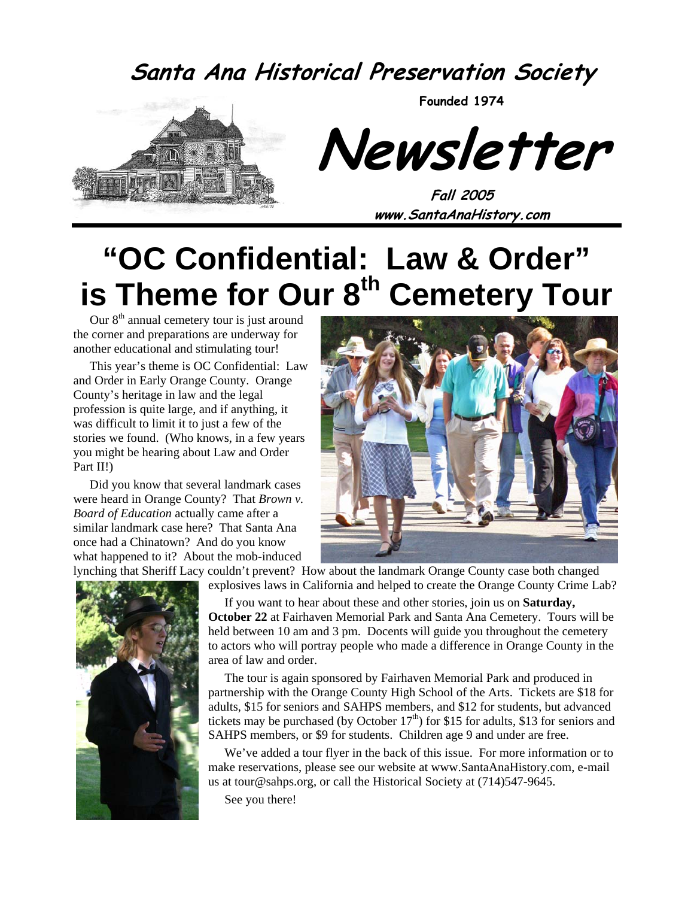#### **Santa Ana Historical Preservation Society**



**Founded 1974** 

**Newsletter** 

**Fall 2005 www.SantaAnaHistory.com** 

# **"OC Confidential: Law & Order" is Theme for Our 8<sup>th</sup> Cemetery Tour**

Our  $8<sup>th</sup>$  annual cemetery tour is just around the corner and preparations are underway for another educational and stimulating tour!

This year's theme is OC Confidential: Law and Order in Early Orange County. Orange County's heritage in law and the legal profession is quite large, and if anything, it was difficult to limit it to just a few of the stories we found. (Who knows, in a few years you might be hearing about Law and Order Part II!)

Did you know that several landmark cases were heard in Orange County? That *Brown v. Board of Education* actually came after a similar landmark case here? That Santa Ana once had a Chinatown? And do you know what happened to it? About the mob-induced



lynching that Sheriff Lacy couldn't prevent? How about the landmark Orange County case both changed explosives laws in California and helped to create the Orange County Crime Lab?



If you want to hear about these and other stories, join us on **Saturday, October 22** at Fairhaven Memorial Park and Santa Ana Cemetery. Tours will be

held between 10 am and 3 pm. Docents will guide you throughout the cemetery to actors who will portray people who made a difference in Orange County in the area of law and order.

The tour is again sponsored by Fairhaven Memorial Park and produced in partnership with the Orange County High School of the Arts. Tickets are \$18 for adults, \$15 for seniors and SAHPS members, and \$12 for students, but advanced tickets may be purchased (by October  $17<sup>th</sup>$ ) for \$15 for adults, \$13 for seniors and SAHPS members, or \$9 for students. Children age 9 and under are free.

We've added a tour flyer in the back of this issue. For more information or to make reservations, please see our website at www.SantaAnaHistory.com, e-mail us at tour@sahps.org, or call the Historical Society at (714)547-9645.

See you there!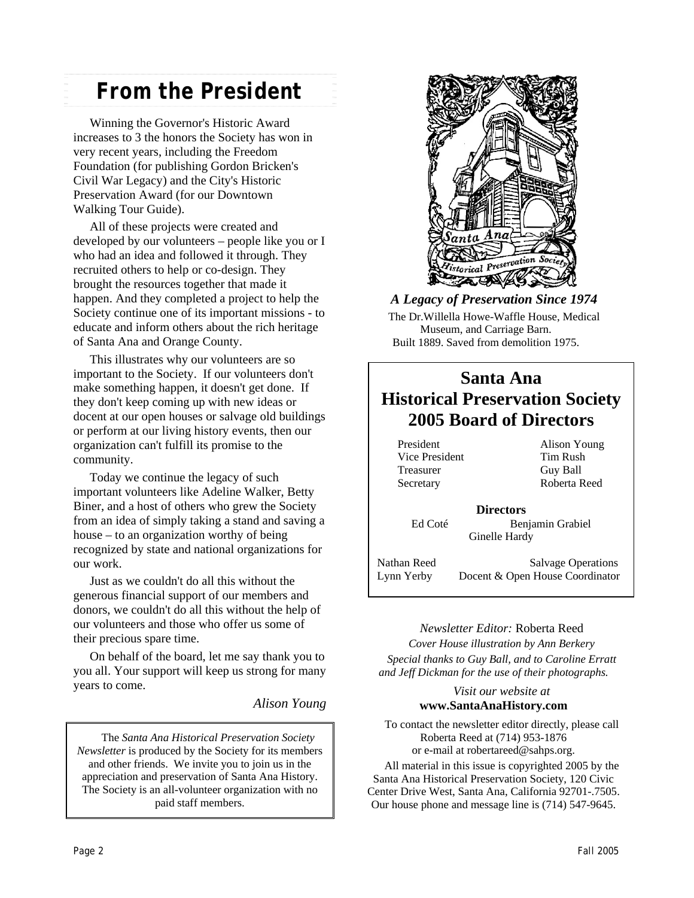#### *From the President*

Winning the Governor's Historic Award increases to 3 the honors the Society has won in very recent years, including the Freedom Foundation (for publishing Gordon Bricken's Civil War Legacy) and the City's Historic Preservation Award (for our Downtown Walking Tour Guide).

All of these projects were created and developed by our volunteers – people like you or I who had an idea and followed it through. They recruited others to help or co-design. They brought the resources together that made it happen. And they completed a project to help the Society continue one of its important missions - to educate and inform others about the rich heritage of Santa Ana and Orange County.

This illustrates why our volunteers are so important to the Society. If our volunteers don't make something happen, it doesn't get done. If they don't keep coming up with new ideas or docent at our open houses or salvage old buildings or perform at our living history events, then our organization can't fulfill its promise to the community.

Today we continue the legacy of such important volunteers like Adeline Walker, Betty Biner, and a host of others who grew the Society from an idea of simply taking a stand and saving a house – to an organization worthy of being recognized by state and national organizations for our work.

Just as we couldn't do all this without the generous financial support of our members and donors, we couldn't do all this without the help of our volunteers and those who offer us some of their precious spare time.

On behalf of the board, let me say thank you to you all. Your support will keep us strong for many years to come.

*Alison Young* 

The *Santa Ana Historical Preservation Society Newsletter* is produced by the Society for its members and other friends. We invite you to join us in the appreciation and preservation of Santa Ana History. The Society is an all-volunteer organization with no paid staff members.



*A Legacy of Preservation Since 1974* 

The Dr.Willella Howe-Waffle House, Medical Museum, and Carriage Barn. Built 1889. Saved from demolition 1975.

#### **Santa Ana Historical Preservation Society 2005 Board of Directors**

President Alison Young Vice President Tim Rush Treasurer Guy Ball Secretary Roberta Reed

**Directors**  Ed Coté Benjamin Grabiel Ginelle Hardy

Nathan Reed Salvage Operations Lynn Yerby Docent & Open House Coordinator

#### *Newsletter Editor:* Roberta Reed *Cover House illustration by Ann Berkery Special thanks to Guy Ball, and to Caroline Erratt*

*and Jeff Dickman for the use of their photographs.* 

#### *Visit our website at*  **www.SantaAnaHistory.com**

To contact the newsletter editor directly, please call Roberta Reed at (714) 953-1876 or e-mail at robertareed@sahps.org.

All material in this issue is copyrighted 2005 by the Santa Ana Historical Preservation Society, 120 Civic Center Drive West, Santa Ana, California 92701-.7505. Our house phone and message line is (714) 547-9645.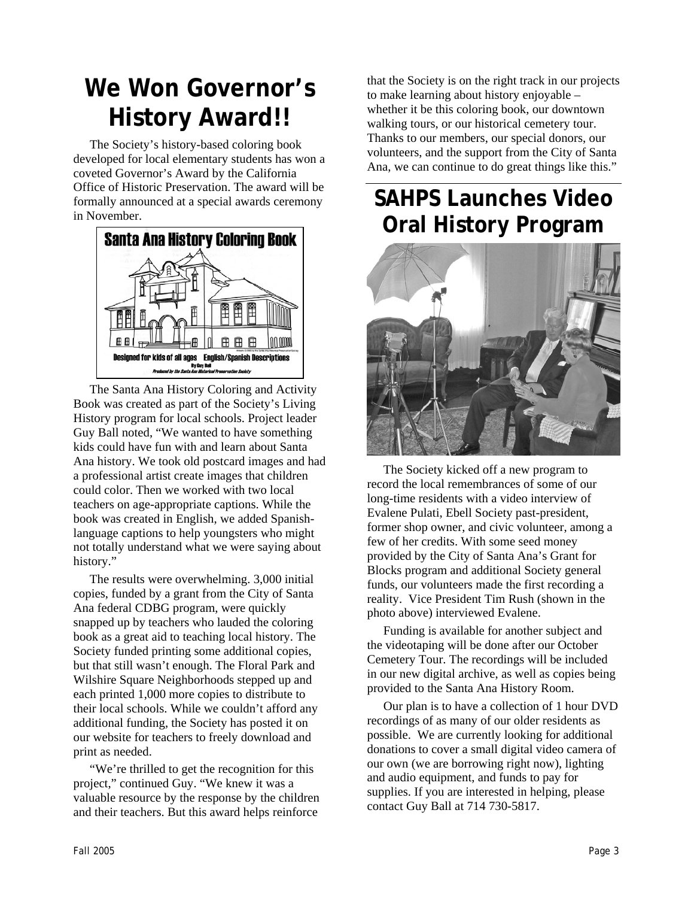## **We Won Governor's History Award!!**

The Society's history-based coloring book developed for local elementary students has won a coveted Governor's Award by the California Office of Historic Preservation. The award will be formally announced at a special awards ceremony in November.



The Santa Ana History Coloring and Activity Book was created as part of the Society's Living History program for local schools. Project leader Guy Ball noted, "We wanted to have something kids could have fun with and learn about Santa Ana history. We took old postcard images and had a professional artist create images that children could color. Then we worked with two local teachers on age-appropriate captions. While the book was created in English, we added Spanishlanguage captions to help youngsters who might not totally understand what we were saying about history."

The results were overwhelming. 3,000 initial copies, funded by a grant from the City of Santa Ana federal CDBG program, were quickly snapped up by teachers who lauded the coloring book as a great aid to teaching local history. The Society funded printing some additional copies, but that still wasn't enough. The Floral Park and Wilshire Square Neighborhoods stepped up and each printed 1,000 more copies to distribute to their local schools. While we couldn't afford any additional funding, the Society has posted it on our website for teachers to freely download and print as needed.

"We're thrilled to get the recognition for this project," continued Guy. "We knew it was a valuable resource by the response by the children and their teachers. But this award helps reinforce

that the Society is on the right track in our projects to make learning about history enjoyable – whether it be this coloring book, our downtown walking tours, or our historical cemetery tour. Thanks to our members, our special donors, our volunteers, and the support from the City of Santa Ana, we can continue to do great things like this."

## **SAHPS Launches Video Oral History Program**



The Society kicked off a new program to record the local remembrances of some of our long-time residents with a video interview of Evalene Pulati, Ebell Society past-president, former shop owner, and civic volunteer, among a few of her credits. With some seed money provided by the City of Santa Ana's Grant for Blocks program and additional Society general funds, our volunteers made the first recording a reality. Vice President Tim Rush (shown in the photo above) interviewed Evalene.

Funding is available for another subject and the videotaping will be done after our October Cemetery Tour. The recordings will be included in our new digital archive, as well as copies being provided to the Santa Ana History Room.

Our plan is to have a collection of 1 hour DVD recordings of as many of our older residents as possible. We are currently looking for additional donations to cover a small digital video camera of our own (we are borrowing right now), lighting and audio equipment, and funds to pay for supplies. If you are interested in helping, please contact Guy Ball at 714 730-5817.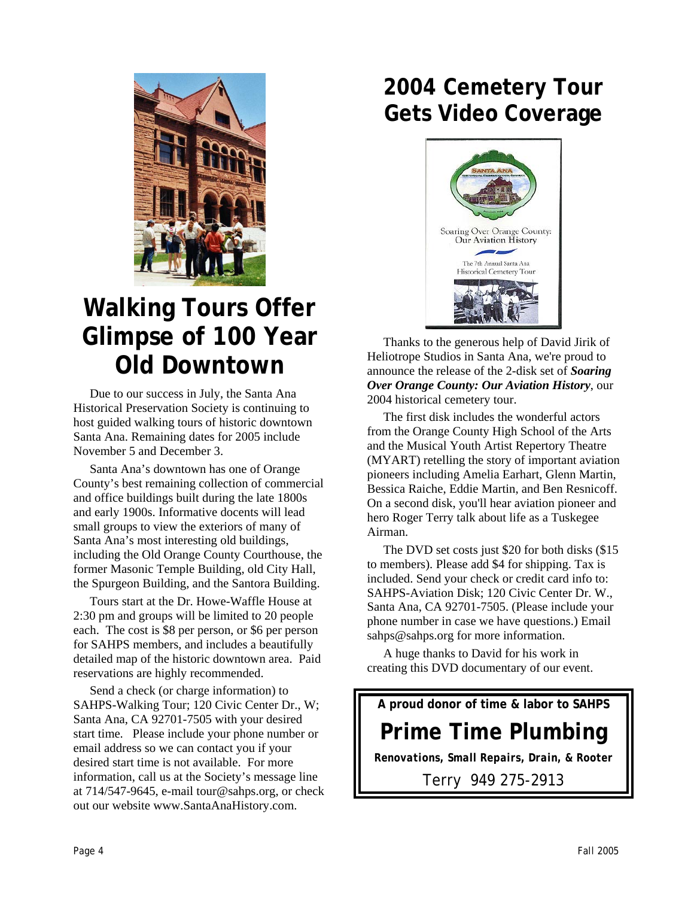

## **Walking Tours Offer Glimpse of 100 Year Old Downtown**

Due to our success in July, the Santa Ana Historical Preservation Society is continuing to host guided walking tours of historic downtown Santa Ana. Remaining dates for 2005 include November 5 and December 3.

Santa Ana's downtown has one of Orange County's best remaining collection of commercial and office buildings built during the late 1800s and early 1900s. Informative docents will lead small groups to view the exteriors of many of Santa Ana's most interesting old buildings, including the Old Orange County Courthouse, the former Masonic Temple Building, old City Hall, the Spurgeon Building, and the Santora Building.

Tours start at the Dr. Howe-Waffle House at 2:30 pm and groups will be limited to 20 people each. The cost is \$8 per person, or \$6 per person for SAHPS members, and includes a beautifully detailed map of the historic downtown area. Paid reservations are highly recommended.

Send a check (or charge information) to SAHPS-Walking Tour; 120 Civic Center Dr., W; Santa Ana, CA 92701-7505 with your desired start time. Please include your phone number or email address so we can contact you if your desired start time is not available. For more information, call us at the Society's message line at 714/547-9645, e-mail tour@sahps.org, or check out our website www.SantaAnaHistory.com.

#### **2004 Cemetery Tour Gets Video Coverage**



Thanks to the generous help of David Jirik of Heliotrope Studios in Santa Ana, we're proud to announce the release of the 2-disk set of *Soaring Over Orange County: Our Aviation History*, our 2004 historical cemetery tour.

The first disk includes the wonderful actors from the Orange County High School of the Arts and the Musical Youth Artist Repertory Theatre (MYART) retelling the story of important aviation pioneers including Amelia Earhart, Glenn Martin, Bessica Raiche, Eddie Martin, and Ben Resnicoff. On a second disk, you'll hear aviation pioneer and hero Roger Terry talk about life as a Tuskegee Airman.

The DVD set costs just \$20 for both disks (\$15 to members). Please add \$4 for shipping. Tax is included. Send your check or credit card info to: SAHPS-Aviation Disk; 120 Civic Center Dr. W., Santa Ana, CA 92701-7505. (Please include your phone number in case we have questions.) Email sahps@sahps.org for more information.

A huge thanks to David for his work in creating this DVD documentary of our event.

**A proud donor of time & labor to SAHPS** 

### **Prime Time Plumbing**

*Renovations, Small Repairs, Drain, & Rooter* 

Terry 949 275-2913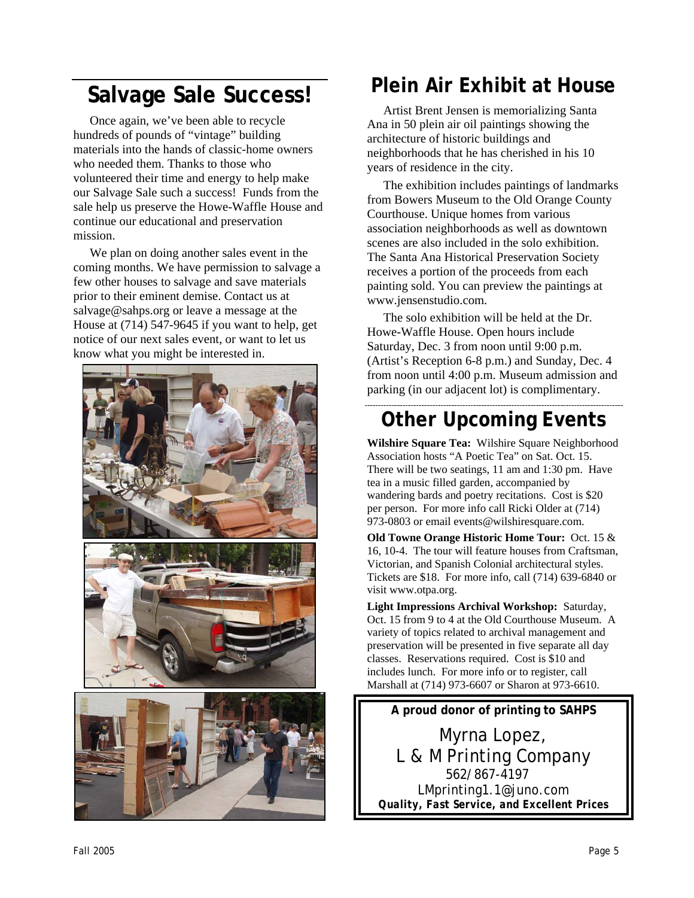# **Plein Air Exhibit at House**<br>Artist Brent Jensen is memorializing Santa

Once again, we've been able to recycle hundreds of pounds of "vintage" building materials into the hands of classic-home owners who needed them. Thanks to those who volunteered their time and energy to help make our Salvage Sale such a success! Funds from the sale help us preserve the Howe-Waffle House and continue our educational and preservation mission.

We plan on doing another sales event in the coming months. We have permission to salvage a few other houses to salvage and save materials prior to their eminent demise. Contact us at salvage@sahps.org or leave a message at the House at (714) 547-9645 if you want to help, get notice of our next sales event, or want to let us know what you might be interested in.



Ana in 50 plein air oil paintings showing the architecture of historic buildings and neighborhoods that he has cherished in his 10 years of residence in the city.

The exhibition includes paintings of landmarks from Bowers Museum to the Old Orange County Courthouse. Unique homes from various association neighborhoods as well as downtown scenes are also included in the solo exhibition. The Santa Ana Historical Preservation Society receives a portion of the proceeds from each painting sold. You can preview the paintings at www.jensenstudio.com.

The solo exhibition will be held at the Dr. Howe-Waffle House. Open hours include Saturday, Dec. 3 from noon until 9:00 p.m. (Artist's Reception 6-8 p.m.) and Sunday, Dec. 4 from noon until 4:00 p.m. Museum admission and parking (in our adjacent lot) is complimentary.

#### **Other Upcoming Events**

**Wilshire Square Tea:** Wilshire Square Neighborhood Association hosts "A Poetic Tea" on Sat. Oct. 15. There will be two seatings, 11 am and 1:30 pm. Have tea in a music filled garden, accompanied by wandering bards and poetry recitations. Cost is \$20 per person. For more info call Ricki Older at (714) 973-0803 or email events@wilshiresquare.com.

**Old Towne Orange Historic Home Tour:** Oct. 15 & 16, 10-4. The tour will feature houses from Craftsman, Victorian, and Spanish Colonial architectural styles. Tickets are \$18. For more info, call (714) 639-6840 or visit www.otpa.org.

**Light Impressions Archival Workshop:** Saturday, Oct. 15 from 9 to 4 at the Old Courthouse Museum. A variety of topics related to archival management and preservation will be presented in five separate all day classes. Reservations required. Cost is \$10 and includes lunch. For more info or to register, call Marshall at (714) 973-6607 or Sharon at 973-6610.

**A proud donor of printing to SAHPS**  Myrna Lopez, L & M Printing Company 562/867-4197 LMprinting1.1@juno.com *Quality, Fast Service, and Excellent Prices*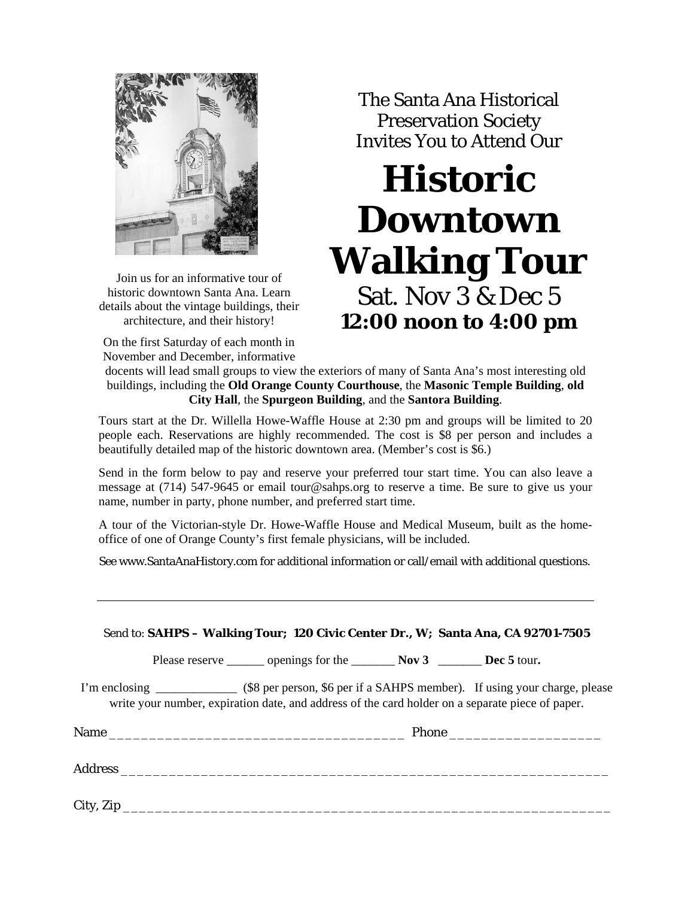

Join us for an informative tour of historic downtown Santa Ana. Learn details about the vintage buildings, their architecture, and their history!

On the first Saturday of each month in November and December, informative

The Santa Ana Historical Preservation Society Invites You to Attend Our

# **Historic Downtown Walking Tour** Sat. Nov 3 & Dec 5 **12:00 noon to 4:00 pm**

docents will lead small groups to view the exteriors of many of Santa Ana's most interesting old buildings, including the **Old Orange County Courthouse**, the **Masonic Temple Building**, **old City Hall**, the **Spurgeon Building**, and the **Santora Building**.

Tours start at the Dr. Willella Howe-Waffle House at 2:30 pm and groups will be limited to 20 people each. Reservations are highly recommended. The cost is \$8 per person and includes a beautifully detailed map of the historic downtown area. (Member's cost is \$6.)

Send in the form below to pay and reserve your preferred tour start time. You can also leave a message at (714) 547-9645 or email tour@sahps.org to reserve a time. Be sure to give us your name, number in party, phone number, and preferred start time.

A tour of the Victorian-style Dr. Howe-Waffle House and Medical Museum, built as the homeoffice of one of Orange County's first female physicians, will be included.

See www.SantaAnaHistory.com for additional information or call/email with additional questions.

|  |                                                                                                  | Send to: SAHPS - Walking Tour; 120 Civic Center Dr., W; Santa Ana, CA 92701-7505                        |
|--|--------------------------------------------------------------------------------------------------|---------------------------------------------------------------------------------------------------------|
|  | Please reserve ________ openings for the _________ Nov 3 _________ Dec 5 tour.                   |                                                                                                         |
|  | write your number, expiration date, and address of the card holder on a separate piece of paper. | I'm enclosing _______________ (\$8 per person, \$6 per if a SAHPS member). If using your charge, please |
|  |                                                                                                  |                                                                                                         |
|  |                                                                                                  |                                                                                                         |
|  |                                                                                                  |                                                                                                         |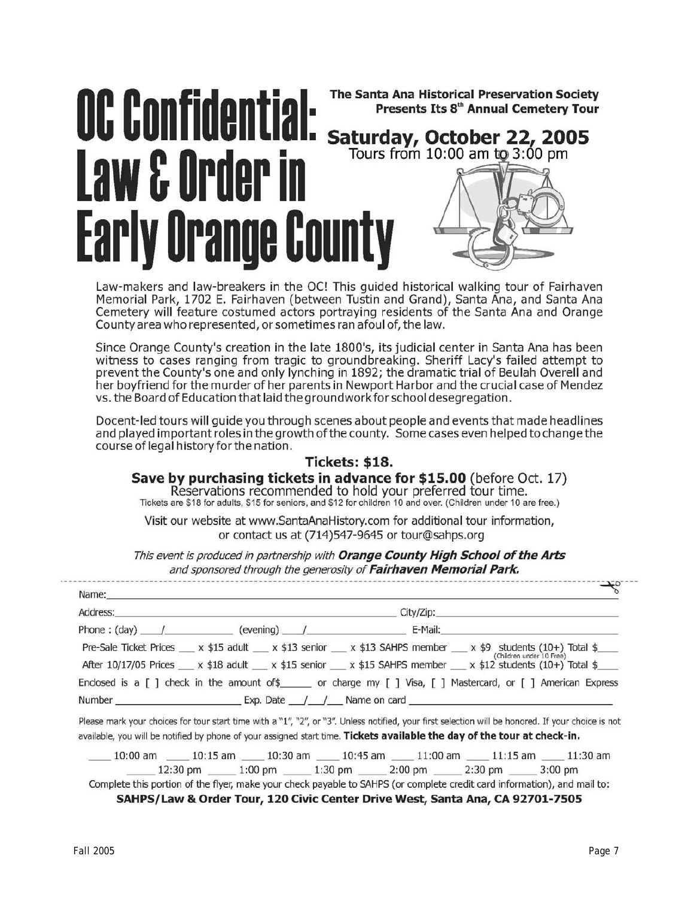## The Santa Ana Historical Preservation Society OC Confidential: Presents Its 8<sup>th</sup> Annual Cemetery Tour Saturday, October 22, 2005<br>Tours from 10:00 am to 3:00 pm Law & Order in Early Orange County

Law-makers and law-breakers in the OC! This guided historical walking tour of Fairhaven Memorial Park, 1702 E. Fairhaven (between Tustin and Grand), Santa Ana, and Santa Ana Cemetery will feature costumed actors portraying residents of the Santa Ana and Orange County area who represented, or sometimes ran afoul of, the law.

Since Orange County's creation in the late 1800's, its judicial center in Santa Ana has been witness to cases ranging from tragic to groundbreaking. Sheriff Lacy's failed attempt to prevent the County's one and only lynching in 1892; the dramatic trial of Beulah Overell and her boyfriend for the murder of her parents in Newport Harbor and the crucial case of Mendez vs. the Board of Education that laid the groundwork for school desegregation.

Docent-led tours will guide you through scenes about people and events that made headlines and played important roles in the growth of the county. Some cases even helped to change the course of legal history for the nation.

#### Tickets: \$18.

Save by purchasing tickets in advance for \$15.00 (before Oct. 17) Reservations recommended to hold your preferred tour time.

Tickets are \$18 for adults, \$15 for seniors, and \$12 for children 10 and over. (Children under 10 are free.)

Visit our website at www.SantaAnaHistory.com for additional tour information, or contact us at (714)547-9645 or tour@sahps.org

This event is produced in partnership with Orange County High School of the Arts and sponsored through the generosity of Fairhaven Memorial Park.

| Pre-Sale Ticket Prices $x$ \$15 adult $x$ \$13 senior $x$ \$13 SAHPS member $x$ \$9 students (10+) Total \$<br>After 10/17/05 Prices __ x \$18 adult __ x \$15 senior __ x \$15 SAHPS member __ x \$12 students (10+) Total \$__                                               |  | (Children under 10 Free) |  |
|--------------------------------------------------------------------------------------------------------------------------------------------------------------------------------------------------------------------------------------------------------------------------------|--|--------------------------|--|
| Enclosed is a [ ] check in the amount of \$______ or charge my [ ] Visa, [ ] Mastercard, or [ ] American Express                                                                                                                                                               |  |                          |  |
| Number $\qquad \qquad$ Exp. Date $\qquad/\qquad$ Name on card                                                                                                                                                                                                                  |  |                          |  |
| Please mark your choices for tour start time with a "1", "2", or "3". Unless notified, your first selection will be honored. If your choice is not<br>available, you will be notified by phone of your assigned start time. Tickets available the day of the tour at check-in. |  |                          |  |
| $10:00$ am $10:15$ am $10:30$ am $10:45$ am $11:00$ am $11:15$ am $11:30$ am                                                                                                                                                                                                   |  |                          |  |
|                                                                                                                                                                                                                                                                                |  |                          |  |

SAHPS/Law & Order Tour, 120 Civic Center Drive West, Santa Ana, CA 92701-7505